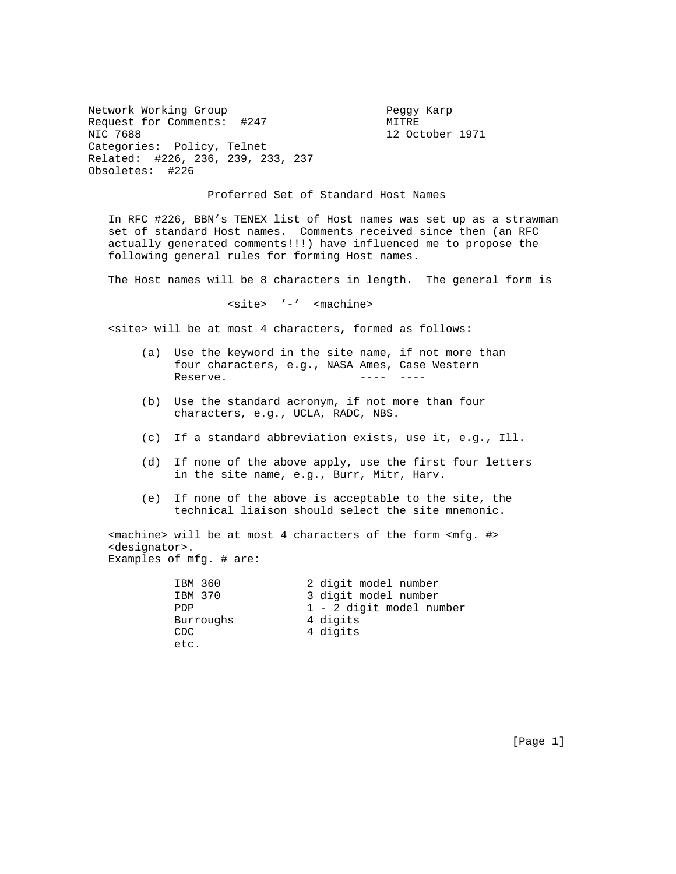Network Working Group Peggy Karp Request for Comments: #247 MITRE NIC 7688 12 October 1971 Categories: Policy, Telnet Related: #226, 236, 239, 233, 237 Obsoletes: #226

## Proferred Set of Standard Host Names

 In RFC #226, BBN's TENEX list of Host names was set up as a strawman set of standard Host names. Comments received since then (an RFC actually generated comments!!!) have influenced me to propose the following general rules for forming Host names.

The Host names will be 8 characters in length. The general form is

<site> '-' <machine>

<site> will be at most 4 characters, formed as follows:

- (a) Use the keyword in the site name, if not more than four characters, e.g., NASA Ames, Case Western Reserve. ---- ----
- (b) Use the standard acronym, if not more than four characters, e.g., UCLA, RADC, NBS.
- (c) If a standard abbreviation exists, use it, e.g., Ill.
- (d) If none of the above apply, use the first four letters in the site name, e.g., Burr, Mitr, Harv.
- (e) If none of the above is acceptable to the site, the technical liaison should select the site mnemonic.

 <machine> will be at most 4 characters of the form <mfg. #> <designator>. Examples of mfg. # are:

| IBM 360   | 2 digit model number     |
|-----------|--------------------------|
| IBM 370   | 3 digit model number     |
| PDP       | 1 - 2 digit model number |
| Burroughs | 4 digits                 |
| CDC.      | 4 digits                 |
| etc.      |                          |

[Page 1]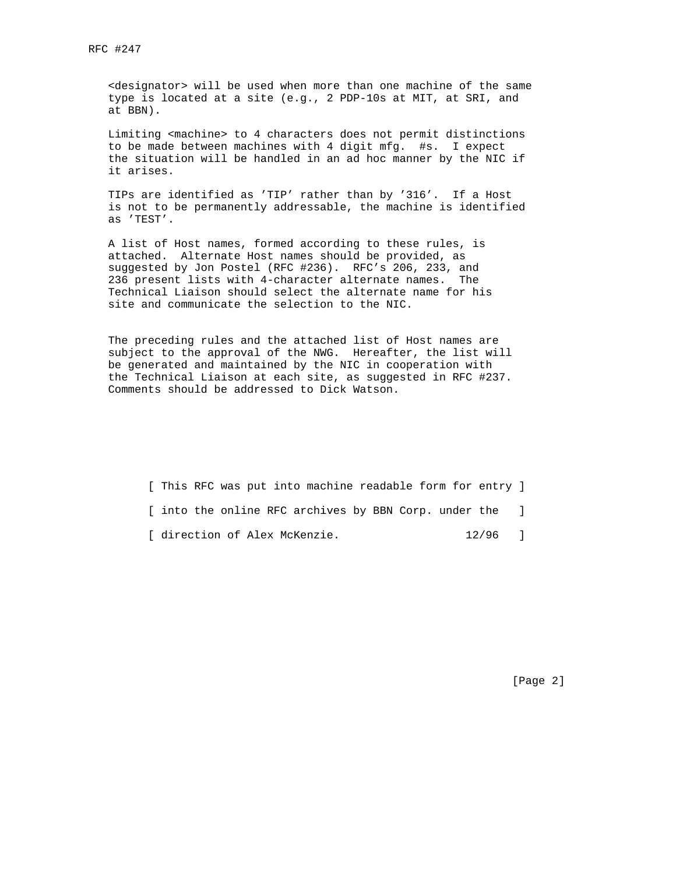<designator> will be used when more than one machine of the same type is located at a site (e.g., 2 PDP-10s at MIT, at SRI, and at BBN).

 Limiting <machine> to 4 characters does not permit distinctions to be made between machines with 4 digit mfg. #s. I expect the situation will be handled in an ad hoc manner by the NIC if it arises.

 TIPs are identified as 'TIP' rather than by '316'. If a Host is not to be permanently addressable, the machine is identified as 'TEST'.

 A list of Host names, formed according to these rules, is attached. Alternate Host names should be provided, as suggested by Jon Postel (RFC #236). RFC's 206, 233, and 236 present lists with 4-character alternate names. The Technical Liaison should select the alternate name for his site and communicate the selection to the NIC.

 The preceding rules and the attached list of Host names are subject to the approval of the NWG. Hereafter, the list will be generated and maintained by the NIC in cooperation with the Technical Liaison at each site, as suggested in RFC #237. Comments should be addressed to Dick Watson.

[ This RFC was put into machine readable form for entry ]

[ into the online RFC archives by BBN Corp. under the ]

[ direction of Alex McKenzie. 12/96 ]

[Page 2]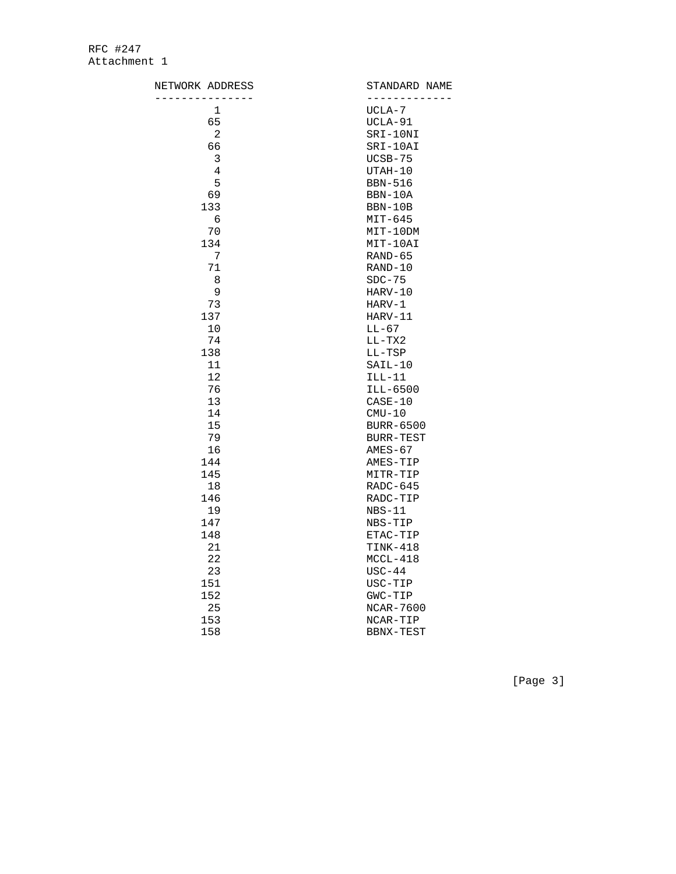| NETWORK ADDRESS | STANDARD NAME<br>----------- |
|-----------------|------------------------------|
| 1               | UCLA-7                       |
| 65              | UCLA-91                      |
| 2               | SRI-10NI                     |
| 66              | SRI-10AI                     |
| 3               | $UCSB-75$                    |
| 4               | UTAH-10                      |
| 5               | <b>BBN-516</b>               |
| 69              | BBN-10A                      |
| 133             | BBN-10B                      |
| 6               | $MIT-645$                    |
| 70              | $MIT-10DM$                   |
| 134             | MIT-10AI                     |
| 7               | $RAND-65$                    |
| 71              | RAND-10                      |
| 8               | $SDC-75$                     |
| 9               | HARV-10                      |
| 73              | $HARV-1$                     |
| 137             | HARV-11                      |
| 10              | $LL-67$                      |
| 74              | $LL-TX2$                     |
| 138             | LL-TSP                       |
| 11              | $SAIL-10$                    |
| 12              | $ILL-11$                     |
| 76              | ILL-6500                     |
| 13              | $CASE-10$                    |
| 14              | $CMU-10$                     |
| 15              | <b>BURR-6500</b>             |
| 79              | <b>BURR-TEST</b>             |
| 16              | $AMES-67$                    |
| 144             | AMES-TIP                     |
| 145             | MITR-TIP                     |
| 18              | $RADC-645$                   |
| 146             | RADC-TIP                     |
| 19              | $NBS-11$                     |
| 147             | NBS-TIP                      |
| 148             | ETAC-TIP                     |
| 21              | TINK-418                     |
| 22              | $MCCL-418$                   |
| 23              | $USC-44$                     |
| 151             | USC-TIP                      |
| 152             | GWC-TIP                      |
| 25              | NCAR-7600                    |
| 153             | NCAR-TIP                     |
| 158             | BBNX-TEST                    |

[Page 3]